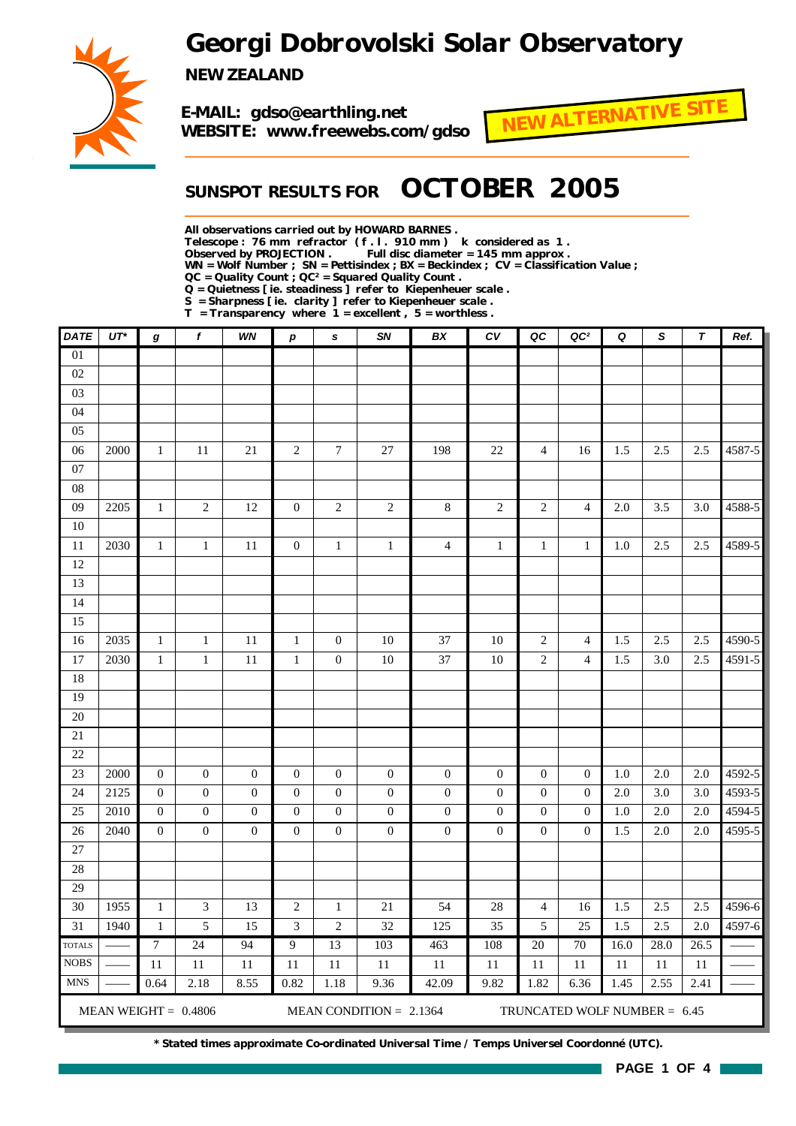# *Georgi Dobrovolski Solar Observatory*



*NEW ZEALAND*

*E-MAIL: gdso@earthling.net WEBSITE: www.freewebs.com/gdso*



## *SUNSPOT RESULTS FOR OCTOBER 2005*

*All observations carried out by HOWARD BARNES .*

*Telescope : 76 mm refractor ( f . l . 910 mm ) k considered as 1 .*

Full disc diameter = 145 mm approx .

*WN = Wolf Number ; SN = Pettisindex ; BX = Beckindex ; CV = Classification Value ;*

*QC = Quality Count ; QC² = Squared Quality Count .*

*Q = Quietness [ ie. steadiness ] refer to Kiepenheuer scale .*

*S = Sharpness [ ie. clarity ] refer to Kiepenheuer scale .*

*T = Transparency where 1 = excellent , 5 = worthless .*

| <b>DATE</b>   | $UT^*$ | g                | f                      | WN               | $\boldsymbol{p}$ | s                | <b>SN</b>                 | BX               | CV               | QC               | QC <sup>2</sup>              | Q    | S    | T       | Ref.       |
|---------------|--------|------------------|------------------------|------------------|------------------|------------------|---------------------------|------------------|------------------|------------------|------------------------------|------|------|---------|------------|
| 01            |        |                  |                        |                  |                  |                  |                           |                  |                  |                  |                              |      |      |         |            |
| 02            |        |                  |                        |                  |                  |                  |                           |                  |                  |                  |                              |      |      |         |            |
| 03            |        |                  |                        |                  |                  |                  |                           |                  |                  |                  |                              |      |      |         |            |
| 04            |        |                  |                        |                  |                  |                  |                           |                  |                  |                  |                              |      |      |         |            |
| 05            |        |                  |                        |                  |                  |                  |                           |                  |                  |                  |                              |      |      |         |            |
| 06            | 2000   | $\mathbf{1}$     | 11                     | 21               | $\overline{c}$   | $\overline{7}$   | 27                        | 198              | 22               | $\overline{4}$   | 16                           | 1.5  | 2.5  | 2.5     | 4587-5     |
| 07            |        |                  |                        |                  |                  |                  |                           |                  |                  |                  |                              |      |      |         |            |
| ${\bf 08}$    |        |                  |                        |                  |                  |                  |                           |                  |                  |                  |                              |      |      |         |            |
| 09            | 2205   | $\mathbf{1}$     | $\boldsymbol{2}$       | $12\,$           | $\overline{0}$   | $\sqrt{2}$       | $\sqrt{2}$                | $8\,$            | $\sqrt{2}$       | $\sqrt{2}$       | $\overline{4}$               | 2.0  | 3.5  | 3.0     | 4588-5     |
| $10\,$        |        |                  |                        |                  |                  |                  |                           |                  |                  |                  |                              |      |      |         |            |
| $11\,$        | 2030   | $\mathbf{1}$     | $\mathbf{1}$           | 11               | $\boldsymbol{0}$ | $\mathbf{1}$     | $\mathbf{1}$              | $\overline{4}$   | $\mathbf{1}$     | $\mathbf{1}$     | $\mathbf{1}$                 | 1.0  | 2.5  | 2.5     | 4589-5     |
| 12            |        |                  |                        |                  |                  |                  |                           |                  |                  |                  |                              |      |      |         |            |
| 13            |        |                  |                        |                  |                  |                  |                           |                  |                  |                  |                              |      |      |         |            |
| 14            |        |                  |                        |                  |                  |                  |                           |                  |                  |                  |                              |      |      |         |            |
| 15            |        |                  |                        |                  |                  |                  |                           |                  |                  |                  |                              |      |      |         |            |
| 16            | 2035   | $\mathbf{1}$     | $\mathbf 1$            | $11\,$           | $\mathbf{1}$     | $\boldsymbol{0}$ | 10                        | 37               | $10\,$           | $\sqrt{2}$       | $\overline{4}$               | 1.5  | 2.5  | 2.5     | $4590 - 5$ |
| 17            | 2030   | $\mathbf{1}$     | $\mathbf{1}$           | $11\,$           | $\mathbf{1}$     | $\boldsymbol{0}$ | 10                        | 37               | 10               | $\overline{c}$   | $\overline{4}$               | 1.5  | 3.0  | 2.5     | 4591-5     |
| 18            |        |                  |                        |                  |                  |                  |                           |                  |                  |                  |                              |      |      |         |            |
| 19            |        |                  |                        |                  |                  |                  |                           |                  |                  |                  |                              |      |      |         |            |
| 20            |        |                  |                        |                  |                  |                  |                           |                  |                  |                  |                              |      |      |         |            |
| $21\,$        |        |                  |                        |                  |                  |                  |                           |                  |                  |                  |                              |      |      |         |            |
| $22\,$        |        |                  |                        |                  |                  |                  |                           |                  |                  |                  |                              |      |      |         |            |
| 23            | 2000   | $\boldsymbol{0}$ | $\mathbf{0}$           | $\boldsymbol{0}$ | $\boldsymbol{0}$ | $\boldsymbol{0}$ | $\boldsymbol{0}$          | $\boldsymbol{0}$ | $\boldsymbol{0}$ | $\mathbf{0}$     | $\boldsymbol{0}$             | 1.0  | 2.0  | $2.0\,$ | 4592-5     |
| 24            | 2125   | $\boldsymbol{0}$ | $\boldsymbol{0}$       | $\mathbf{0}$     | $\boldsymbol{0}$ | $\boldsymbol{0}$ | $\boldsymbol{0}$          | $\boldsymbol{0}$ | $\boldsymbol{0}$ | $\boldsymbol{0}$ | $\boldsymbol{0}$             | 2.0  | 3.0  | 3.0     | 4593-5     |
| 25            | 2010   | $\mathbf{0}$     | $\mathbf{0}$           | $\mathbf{0}$     | $\mathbf{0}$     | $\mathbf{0}$     | $\boldsymbol{0}$          | $\boldsymbol{0}$ | $\boldsymbol{0}$ | $\mathbf{0}$     | $\theta$                     | 1.0  | 2.0  | 2.0     | 4594-5     |
| 26            | 2040   | $\overline{0}$   | $\boldsymbol{0}$       | $\boldsymbol{0}$ | $\overline{0}$   | $\boldsymbol{0}$ | $\boldsymbol{0}$          | $\boldsymbol{0}$ | $\boldsymbol{0}$ | $\mathbf{0}$     | $\theta$                     | 1.5  | 2.0  | $2.0\,$ | 4595-5     |
| 27            |        |                  |                        |                  |                  |                  |                           |                  |                  |                  |                              |      |      |         |            |
| 28            |        |                  |                        |                  |                  |                  |                           |                  |                  |                  |                              |      |      |         |            |
| 29            |        |                  |                        |                  |                  |                  |                           |                  |                  |                  |                              |      |      |         |            |
| 30            | 1955   | $\mathbf{1}$     | 3                      | 13               | $\overline{c}$   | $\mathbf{1}$     | 21                        | 54               | 28               | $\overline{4}$   | 16                           | 1.5  | 2.5  | 2.5     | 4596-6     |
| 31            | 1940   | $\mathbf{1}$     | 5                      | 15               | 3                | $\overline{c}$   | 32                        | 125              | 35               | 5                | 25                           | 1.5  | 2.5  | 2.0     | 4597-6     |
| <b>TOTALS</b> |        | 7                | 24                     | 94               | $\boldsymbol{9}$ | 13               | 103                       | 463              | 108              | $20\,$           | 70                           | 16.0 | 28.0 | 26.5    |            |
| <b>NOBS</b>   |        | 11               | 11                     | 11               | 11               | 11               | 11                        | 11               | 11               | 11               | 11                           | 11   | 11   | 11      |            |
| <b>MNS</b>    |        | 0.64             | 2.18                   | 8.55             | 0.82             | 1.18             | 9.36                      | 42.09            | 9.82             | 1.82             | 6.36                         | 1.45 | 2.55 | 2.41    |            |
|               |        |                  | MEAN WEIGHT = $0.4806$ |                  |                  |                  | MEAN CONDITION = $2.1364$ |                  |                  |                  | TRUNCATED WOLF NUMBER = 6.45 |      |      |         |            |

*\* Stated times approximate Co-ordinated Universal Time / Temps Universel Coordonné (UTC).*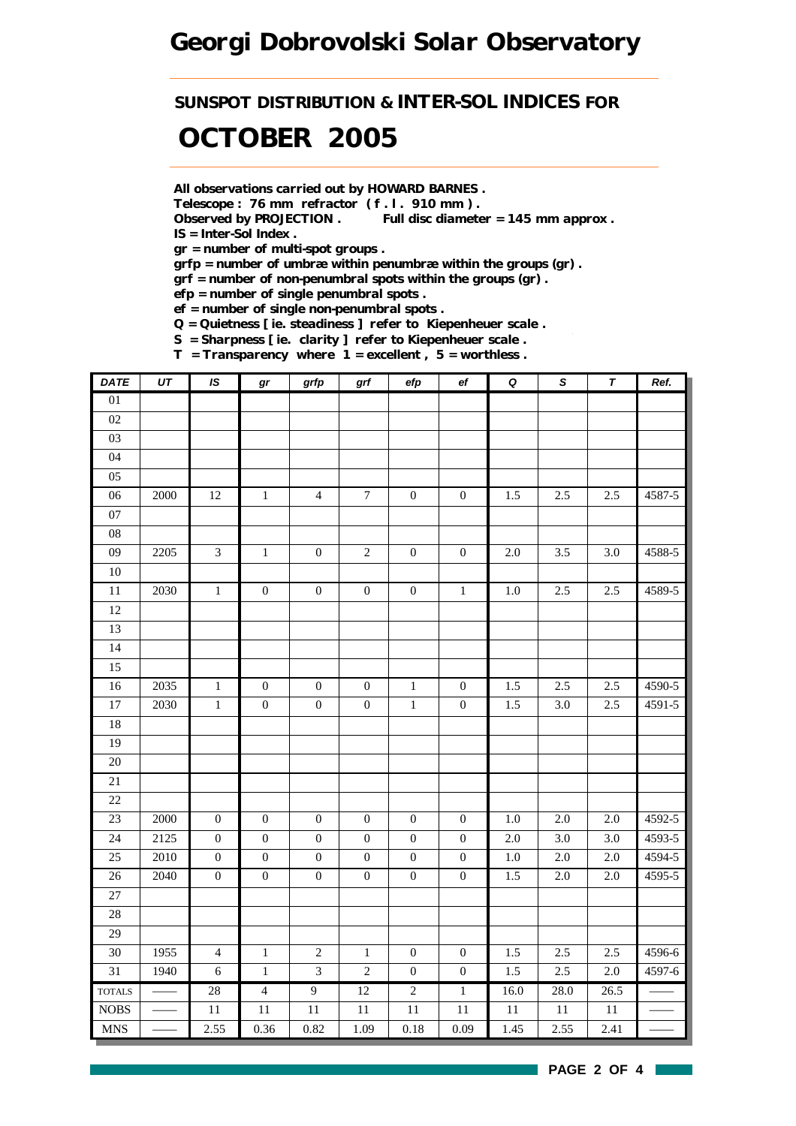*SUNSPOT DISTRIBUTION & INTER-SOL INDICES FOR*

# *OCTOBER 2005*

*All observations carried out by HOWARD BARNES .*

*Telescope : 76 mm refractor ( f . l . 910 mm ) .*

*Observed by PROJECTION . Full disc diameter = 145 mm approx . IS = Inter-Sol Index .*

*gr = number of multi-spot groups .*

*grfp = number of umbræ within penumbræ within the groups (gr) .*

*grf = number of non-penumbral spots within the groups (gr) .*

*efp = number of single penumbral spots .*

*ef = number of single non-penumbral spots .*

*Q = Quietness [ ie. steadiness ] refer to Kiepenheuer scale .*

*S = Sharpness [ ie. clarity ] refer to Kiepenheuer scale . T = Transparency where 1 = excellent , 5 = worthless .*

| <b>DATE</b>     | $\overline{UT}$ | IS               | $\bm{gr}$        | grfp             | grf              | $\operatorname{\sf efp}$ | $_{\rm ef}$      | $\pmb Q$ | $\overline{s}$   | $\overline{\tau}$ | Ref.       |
|-----------------|-----------------|------------------|------------------|------------------|------------------|--------------------------|------------------|----------|------------------|-------------------|------------|
| $01\,$          |                 |                  |                  |                  |                  |                          |                  |          |                  |                   |            |
| $02\,$          |                 |                  |                  |                  |                  |                          |                  |          |                  |                   |            |
| $03\,$          |                 |                  |                  |                  |                  |                          |                  |          |                  |                   |            |
| 04              |                 |                  |                  |                  |                  |                          |                  |          |                  |                   |            |
| 05              |                 |                  |                  |                  |                  |                          |                  |          |                  |                   |            |
| $06\,$          | 2000            | 12               | $1\,$            | $\overline{4}$   | $\boldsymbol{7}$ | $\boldsymbol{0}$         | $\boldsymbol{0}$ | 1.5      | 2.5              | 2.5               | 4587-5     |
| 07              |                 |                  |                  |                  |                  |                          |                  |          |                  |                   |            |
| ${\bf 08}$      |                 |                  |                  |                  |                  |                          |                  |          |                  |                   |            |
| $09\,$          | 2205            | $\mathfrak{Z}$   | $\,1\,$          | $\boldsymbol{0}$ | $\sqrt{2}$       | $\boldsymbol{0}$         | $\boldsymbol{0}$ | $2.0\,$  | 3.5              | 3.0               | 4588-5     |
| $10\,$          |                 |                  |                  |                  |                  |                          |                  |          |                  |                   |            |
| $\overline{11}$ | 2030            | $\overline{1}$   | $\overline{0}$   | $\boldsymbol{0}$ | $\boldsymbol{0}$ | $\boldsymbol{0}$         | $\overline{1}$   | $1.0\,$  | 2.5              | 2.5               | 4589-5     |
| 12              |                 |                  |                  |                  |                  |                          |                  |          |                  |                   |            |
| 13              |                 |                  |                  |                  |                  |                          |                  |          |                  |                   |            |
| 14              |                 |                  |                  |                  |                  |                          |                  |          |                  |                   |            |
| 15              |                 |                  |                  |                  |                  |                          |                  |          |                  |                   |            |
| 16              | 2035            | $\,1$            | $\boldsymbol{0}$ | $\boldsymbol{0}$ | $\boldsymbol{0}$ | $\,1$                    | $\boldsymbol{0}$ | 1.5      | 2.5              | 2.5               | 4590-5     |
| $\overline{17}$ | 2030            | $\,1$            | $\boldsymbol{0}$ | $\boldsymbol{0}$ | $\boldsymbol{0}$ | $\,1$                    | $\boldsymbol{0}$ | 1.5      | $3.0\,$          | 2.5               | 4591-5     |
| 18              |                 |                  |                  |                  |                  |                          |                  |          |                  |                   |            |
| 19              |                 |                  |                  |                  |                  |                          |                  |          |                  |                   |            |
| $20\,$          |                 |                  |                  |                  |                  |                          |                  |          |                  |                   |            |
| 21              |                 |                  |                  |                  |                  |                          |                  |          |                  |                   |            |
| 22              |                 |                  |                  |                  |                  |                          |                  |          |                  |                   |            |
| 23              | 2000            | $\boldsymbol{0}$ | $\boldsymbol{0}$ | $\boldsymbol{0}$ | $\boldsymbol{0}$ | $\boldsymbol{0}$         | $\boldsymbol{0}$ | $1.0\,$  | 2.0              | 2.0               | 4592-5     |
| 24              | 2125            | $\boldsymbol{0}$ | $\boldsymbol{0}$ | $\boldsymbol{0}$ | $\boldsymbol{0}$ | $\boldsymbol{0}$         | $\boldsymbol{0}$ | $2.0\,$  | 3.0              | 3.0               | 4593-5     |
| 25              | 2010            | $\boldsymbol{0}$ | $\boldsymbol{0}$ | $\boldsymbol{0}$ | $\boldsymbol{0}$ | $\boldsymbol{0}$         | $\boldsymbol{0}$ | $1.0\,$  | 2.0              | 2.0               | 4594-5     |
| $\overline{26}$ | 2040            | $\boldsymbol{0}$ | $\overline{0}$   | $\boldsymbol{0}$ | $\boldsymbol{0}$ | $\boldsymbol{0}$         | $\boldsymbol{0}$ | 1.5      | $\overline{2.0}$ | 2.0               | $4595 - 5$ |
| 27              |                 |                  |                  |                  |                  |                          |                  |          |                  |                   |            |
| 28              |                 |                  |                  |                  |                  |                          |                  |          |                  |                   |            |
| 29              |                 |                  |                  |                  |                  |                          |                  |          |                  |                   |            |
| 30              | 1955            | $\overline{4}$   | $1\,$            | $\sqrt{2}$       | $1\,$            | $\boldsymbol{0}$         | $\boldsymbol{0}$ | 1.5      | 2.5              | 2.5               | 4596-6     |
| 31              | 1940            | $\sqrt{6}$       | $\mathbf 1$      | $\mathfrak{Z}$   | $\sqrt{2}$       | $\boldsymbol{0}$         | $\boldsymbol{0}$ | 1.5      | 2.5              | 2.0               | 4597-6     |
| <b>TOTALS</b>   | $\frac{1}{1}$   | 28               | $\overline{4}$   | $\overline{9}$   | $\overline{12}$  | $\overline{2}$           | $1\,$            | 16.0     | 28.0             | 26.5              |            |
| <b>NOBS</b>     |                 | $11\,$           | 11               | 11               | 11               | $11\,$                   | 11               | $11\,$   | $11\,$           | $11\,$            |            |
| <b>MNS</b>      |                 | 2.55             | 0.36             | 0.82             | 1.09             | $0.18\,$                 | 0.09             | 1.45     | 2.55             | 2.41              |            |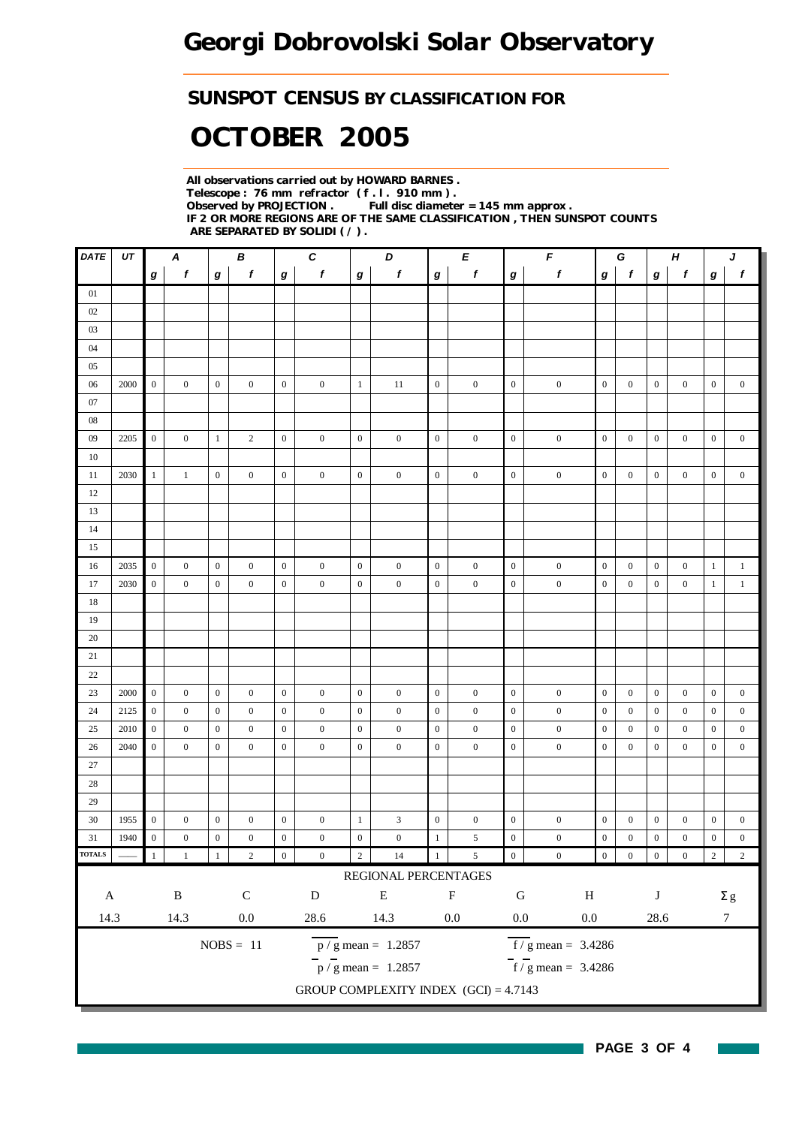### *SUNSPOT CENSUS BY CLASSIFICATION FOR*

# *OCTOBER 2005*

*All observations carried out by HOWARD BARNES . Telescope : 76 mm refractor ( f . l . 910 mm ) . Observed by PROJECTION . Full disc diameter = 145 mm approx . IF 2 OR MORE REGIONS ARE OF THE SAME CLASSIFICATION , THEN SUNSPOT COUNTS ARE SEPARATED BY SOLIDI ( / ) .*

| DATE          | UT   | $\pmb{C}$<br>A<br>В |                  |                  |                  |                  |                  |                  | D<br>E                                  |                  |                  | F                |                                    | G                |                  | H                |                  | J                |                  |
|---------------|------|---------------------|------------------|------------------|------------------|------------------|------------------|------------------|-----------------------------------------|------------------|------------------|------------------|------------------------------------|------------------|------------------|------------------|------------------|------------------|------------------|
|               |      | g                   | $\boldsymbol{f}$ | g                | $\mathbf f$      | $\boldsymbol{g}$ | $\mathbf f$      | $\bm{g}$         | f                                       | $\boldsymbol{g}$ | f                | $\boldsymbol{g}$ | $\pmb{f}$                          | g                | $\mathbf{f}$     | g                | $\pmb{f}$        | g                | $\boldsymbol{f}$ |
| 01            |      |                     |                  |                  |                  |                  |                  |                  |                                         |                  |                  |                  |                                    |                  |                  |                  |                  |                  |                  |
| 02            |      |                     |                  |                  |                  |                  |                  |                  |                                         |                  |                  |                  |                                    |                  |                  |                  |                  |                  |                  |
| 03            |      |                     |                  |                  |                  |                  |                  |                  |                                         |                  |                  |                  |                                    |                  |                  |                  |                  |                  |                  |
| 04            |      |                     |                  |                  |                  |                  |                  |                  |                                         |                  |                  |                  |                                    |                  |                  |                  |                  |                  |                  |
| 05            |      |                     |                  |                  |                  |                  |                  |                  |                                         |                  |                  |                  |                                    |                  |                  |                  |                  |                  |                  |
| 06            | 2000 | $\boldsymbol{0}$    | $\boldsymbol{0}$ | $\mathbf{0}$     | $\mathbf{0}$     | $\boldsymbol{0}$ | $\boldsymbol{0}$ | $\mathbf{1}$     | 11                                      | $\mathbf{0}$     | $\mathbf{0}$     | $\boldsymbol{0}$ | $\boldsymbol{0}$                   | $\boldsymbol{0}$ | $\boldsymbol{0}$ | $\boldsymbol{0}$ | $\boldsymbol{0}$ | $\mathbf{0}$     | $\boldsymbol{0}$ |
| 07            |      |                     |                  |                  |                  |                  |                  |                  |                                         |                  |                  |                  |                                    |                  |                  |                  |                  |                  |                  |
| 08            |      |                     |                  |                  |                  |                  |                  |                  |                                         |                  |                  |                  |                                    |                  |                  |                  |                  |                  |                  |
| 09            | 2205 | $\mathbf{0}$        | $\boldsymbol{0}$ | 1                | $\overline{c}$   | $\mathbf{0}$     | $\boldsymbol{0}$ | $\boldsymbol{0}$ | $\boldsymbol{0}$                        | $\overline{0}$   | $\boldsymbol{0}$ | $\boldsymbol{0}$ | $\boldsymbol{0}$                   | $\mathbf{0}$     | $\boldsymbol{0}$ | $\boldsymbol{0}$ | $\boldsymbol{0}$ | $\boldsymbol{0}$ | $\boldsymbol{0}$ |
| 10            |      |                     |                  |                  |                  |                  |                  |                  |                                         |                  |                  |                  |                                    |                  |                  |                  |                  |                  |                  |
| 11            | 2030 | $\mathbf{1}$        | 1                | $\mathbf{0}$     | $\boldsymbol{0}$ | $\boldsymbol{0}$ | $\boldsymbol{0}$ | $\boldsymbol{0}$ | $\boldsymbol{0}$                        | $\overline{0}$   | $\boldsymbol{0}$ | $\boldsymbol{0}$ | $\boldsymbol{0}$                   | $\mathbf{0}$     | $\boldsymbol{0}$ | $\boldsymbol{0}$ | $\boldsymbol{0}$ | $\boldsymbol{0}$ | $\boldsymbol{0}$ |
| 12            |      |                     |                  |                  |                  |                  |                  |                  |                                         |                  |                  |                  |                                    |                  |                  |                  |                  |                  |                  |
| 13            |      |                     |                  |                  |                  |                  |                  |                  |                                         |                  |                  |                  |                                    |                  |                  |                  |                  |                  |                  |
| 14            |      |                     |                  |                  |                  |                  |                  |                  |                                         |                  |                  |                  |                                    |                  |                  |                  |                  |                  |                  |
| 15            |      |                     |                  |                  |                  |                  |                  |                  |                                         |                  |                  |                  |                                    |                  |                  |                  |                  |                  |                  |
| 16            | 2035 | $\overline{0}$      | $\boldsymbol{0}$ | $\boldsymbol{0}$ | $\boldsymbol{0}$ | $\boldsymbol{0}$ | $\boldsymbol{0}$ | $\boldsymbol{0}$ | $\boldsymbol{0}$                        | $\mathbf{0}$     | $\boldsymbol{0}$ | $\boldsymbol{0}$ | $\boldsymbol{0}$                   | $\boldsymbol{0}$ | $\boldsymbol{0}$ | $\boldsymbol{0}$ | $\boldsymbol{0}$ | $\mathbf{1}$     | $\mathbf{1}$     |
| 17            | 2030 | $\boldsymbol{0}$    | $\boldsymbol{0}$ | $\boldsymbol{0}$ | $\mathbf{0}$     | $\mathbf{0}$     | $\boldsymbol{0}$ | $\boldsymbol{0}$ | $\boldsymbol{0}$                        | $\mathbf{0}$     | $\boldsymbol{0}$ | $\boldsymbol{0}$ | $\boldsymbol{0}$                   | $\boldsymbol{0}$ | $\boldsymbol{0}$ | $\boldsymbol{0}$ | $\boldsymbol{0}$ | $\mathbf{1}$     | $\mathbf{1}$     |
| 18            |      |                     |                  |                  |                  |                  |                  |                  |                                         |                  |                  |                  |                                    |                  |                  |                  |                  |                  |                  |
| 19            |      |                     |                  |                  |                  |                  |                  |                  |                                         |                  |                  |                  |                                    |                  |                  |                  |                  |                  |                  |
| 20            |      |                     |                  |                  |                  |                  |                  |                  |                                         |                  |                  |                  |                                    |                  |                  |                  |                  |                  |                  |
| 21            |      |                     |                  |                  |                  |                  |                  |                  |                                         |                  |                  |                  |                                    |                  |                  |                  |                  |                  |                  |
| 22            |      |                     |                  |                  |                  |                  |                  |                  |                                         |                  |                  |                  |                                    |                  |                  |                  |                  |                  |                  |
| 23            | 2000 | $\boldsymbol{0}$    | $\boldsymbol{0}$ | $\mathbf{0}$     | $\boldsymbol{0}$ | $\mathbf{0}$     | $\boldsymbol{0}$ | $\boldsymbol{0}$ | $\boldsymbol{0}$                        | $\mathbf{0}$     | $\boldsymbol{0}$ | $\mathbf{0}$     | $\boldsymbol{0}$                   | $\mathbf{0}$     | $\boldsymbol{0}$ | $\boldsymbol{0}$ | $\boldsymbol{0}$ | $\boldsymbol{0}$ | $\boldsymbol{0}$ |
| 24            | 2125 | $\mathbf{0}$        | $\boldsymbol{0}$ | $\mathbf{0}$     | $\mathbf{0}$     | $\boldsymbol{0}$ | $\boldsymbol{0}$ | $\boldsymbol{0}$ | $\boldsymbol{0}$                        | $\boldsymbol{0}$ | $\boldsymbol{0}$ | $\boldsymbol{0}$ | $\boldsymbol{0}$                   | $\mathbf{0}$     | $\boldsymbol{0}$ | $\boldsymbol{0}$ | $\boldsymbol{0}$ | $\boldsymbol{0}$ | $\boldsymbol{0}$ |
| 25            | 2010 | $\boldsymbol{0}$    | $\boldsymbol{0}$ | $\boldsymbol{0}$ | $\mathbf{0}$     | $\mathbf{0}$     | $\boldsymbol{0}$ | $\boldsymbol{0}$ | $\boldsymbol{0}$                        | $\mathbf{0}$     | $\boldsymbol{0}$ | $\mathbf{0}$     | $\boldsymbol{0}$                   | $\boldsymbol{0}$ | $\boldsymbol{0}$ | $\boldsymbol{0}$ | $\boldsymbol{0}$ | $\boldsymbol{0}$ | $\boldsymbol{0}$ |
| 26            | 2040 | $\boldsymbol{0}$    | $\boldsymbol{0}$ | $\boldsymbol{0}$ | $\mathbf{0}$     | $\boldsymbol{0}$ | $\boldsymbol{0}$ | $\boldsymbol{0}$ | $\boldsymbol{0}$                        | $\boldsymbol{0}$ | $\mathbf{0}$     | $\boldsymbol{0}$ | $\boldsymbol{0}$                   | $\boldsymbol{0}$ | $\boldsymbol{0}$ | $\boldsymbol{0}$ | $\boldsymbol{0}$ | $\mathbf{0}$     | $\boldsymbol{0}$ |
| $27\,$        |      |                     |                  |                  |                  |                  |                  |                  |                                         |                  |                  |                  |                                    |                  |                  |                  |                  |                  |                  |
| 28            |      |                     |                  |                  |                  |                  |                  |                  |                                         |                  |                  |                  |                                    |                  |                  |                  |                  |                  |                  |
| 29            |      |                     |                  |                  |                  |                  |                  |                  |                                         |                  |                  |                  |                                    |                  |                  |                  |                  |                  |                  |
| 30            | 1955 | $\mathbf{0}$        | $\boldsymbol{0}$ | $\boldsymbol{0}$ | $\boldsymbol{0}$ | $\boldsymbol{0}$ | $\boldsymbol{0}$ | $\mathbf{1}$     | 3                                       | $\mathbf{0}$     | $\boldsymbol{0}$ | $\boldsymbol{0}$ | $\boldsymbol{0}$                   | $\boldsymbol{0}$ | $\boldsymbol{0}$ | $\boldsymbol{0}$ | $\boldsymbol{0}$ | $\boldsymbol{0}$ | $\boldsymbol{0}$ |
| 31            | 1940 | $\boldsymbol{0}$    | $\overline{0}$   | $\boldsymbol{0}$ | $\mathbf{0}$     | $\boldsymbol{0}$ | $\boldsymbol{0}$ | $\boldsymbol{0}$ | $\boldsymbol{0}$                        | $\mathbf{1}$     | $\sqrt{5}$       | $\boldsymbol{0}$ | $\boldsymbol{0}$                   | $\boldsymbol{0}$ | $\mathbf{0}$     | $\boldsymbol{0}$ | $\boldsymbol{0}$ | $\boldsymbol{0}$ | $\boldsymbol{0}$ |
| <b>TOTALS</b> |      | 1                   | $\mathbf{1}$     |                  | $\sqrt{2}$       | $\boldsymbol{0}$ | $\boldsymbol{0}$ | $\,2$            | $14\,$                                  | $1\,$            | $\sqrt{5}$       | $\boldsymbol{0}$ | $\boldsymbol{0}$                   | $\boldsymbol{0}$ | $\boldsymbol{0}$ | $\boldsymbol{0}$ | $\boldsymbol{0}$ | $\overline{2}$   | $\sqrt{2}$       |
|               |      |                     |                  |                  |                  |                  |                  |                  | REGIONAL PERCENTAGES                    |                  |                  |                  |                                    |                  |                  |                  |                  |                  |                  |
| $\mathbf A$   |      |                     | $\, {\bf B}$     |                  | $\mathsf C$      |                  | ${\bf D}$        |                  | ${\bf E}$                               |                  | ${\bf F}$        | ${\bf G}$        | $\, {\rm H}$                       |                  |                  | $\bf J$          |                  |                  | $\Sigma$ g       |
| 14.3          |      |                     | 14.3             |                  | $0.0\,$          |                  | 28.6             |                  | 14.3                                    |                  | $0.0\,$          | $0.0\,$          | $0.0\,$                            |                  |                  | 28.6             |                  |                  | $\boldsymbol{7}$ |
|               |      |                     |                  |                  | $NOBS = 11$      |                  |                  |                  | $\overline{p}/g$ mean = 1.2857          |                  |                  |                  | $f/g$ mean = 3.4286                |                  |                  |                  |                  |                  |                  |
|               |      |                     |                  |                  |                  |                  |                  |                  |                                         |                  |                  |                  |                                    |                  |                  |                  |                  |                  |                  |
|               |      |                     |                  |                  |                  |                  |                  |                  | $\frac{1}{p}$ / g mean = 1.2857         |                  |                  |                  | $\frac{1}{\sqrt{5}}$ mean = 3.4286 |                  |                  |                  |                  |                  |                  |
|               |      |                     |                  |                  |                  |                  |                  |                  | GROUP COMPLEXITY INDEX $(GCI) = 4.7143$ |                  |                  |                  |                                    |                  |                  |                  |                  |                  |                  |